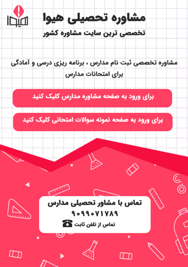

مشاوره تخصصی ثبت نام مدارس ، برنامه ریزی درسی و آمادگی براى امتحانات مدارس

برای ورود به صفحه مشاوره مدارس کلیک کنید

برای ورود به صفحه نمونه سوالات امتحانی کلیک کنید



9099071789 تماس از تلفن ثابت ها

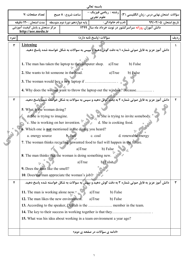|      |                                                                                |  |                   | باسمه تعالى                    |          |                                                         |                                                                                                  |   |
|------|--------------------------------------------------------------------------------|--|-------------------|--------------------------------|----------|---------------------------------------------------------|--------------------------------------------------------------------------------------------------|---|
|      | تعداد صفحات :٧                                                                 |  | ساعت شروع : ٨ صبح | علوم تجربي                     |          |                                                         | سؤالات امتحان نهایی درس : زبان انگلیسی (۳)   رشته : ریاضی فیزیک –                                |   |
|      | پایه دوازدهم دورهٔ دوم متوسطه     مدت امتحان : ۱۲۰ دقیقه                       |  |                   |                                |          |                                                         | تاريخ امتحان: ۹۹/۰۴/۰۵ قطعي الله و نام خانوادگي :                                                |   |
|      | مرکز سنجش و پایش کیفیت آموزشی<br>http://aee.medu.ir                            |  |                   |                                |          | دانش آموزان روزانه سراسرکشور در نوبت خرداد ماه سال ۱۳۹۹ |                                                                                                  |   |
| نمره | سؤالات (پاسخ نامه دارد)                                                        |  |                   |                                |          | ارديف                                                   |                                                                                                  |   |
| ٣    | <b>Listening</b>                                                               |  |                   |                                |          |                                                         | دانش آموز عزیز به فایل صوتی شماره ۱ به دقت گوش دهید و سپس به سوالات به شکل خواسته شده پاسخ دهید. | 1 |
|      | 1. The man has taken the laptop to the computer shop.                          |  |                   |                                | a)True   | b) False                                                |                                                                                                  |   |
|      | 2. She wants to hit someone in the head.                                       |  |                   |                                | a)True   | b) False                                                |                                                                                                  |   |
|      |                                                                                |  |                   |                                |          |                                                         |                                                                                                  |   |
|      | 4. Why does the woman want to throw the laptop out the window? Because         |  |                   |                                |          |                                                         |                                                                                                  |   |
| ٣    |                                                                                |  |                   |                                |          |                                                         | دانش آموز عزیز به فایل صوتی شماره ۲ به دقت گوش دهید و سپس به سوالات به شکل خواسته شده پاسخ دهید. | ۲ |
|      | 5. What is the woman doing?                                                    |  |                   |                                |          |                                                         |                                                                                                  |   |
|      | a. She is trying to imagine.                                                   |  |                   |                                |          | b. She is trying to invite somebody.                    |                                                                                                  |   |
|      | c. She is working on her invention.<br>d. She is cooking food.                 |  |                   |                                |          |                                                         |                                                                                                  |   |
|      | 6. Which one is <b>not</b> mentioned in the dialog you heard?                  |  |                   |                                |          |                                                         |                                                                                                  |   |
|      | a. energy source                                                               |  | b. fuel           | c. coal                        |          | d. renewable energy                                     |                                                                                                  |   |
|      | 7. The woman thinks recycling unwanted food to fuel will happen in the future. |  |                   |                                |          |                                                         |                                                                                                  |   |
|      | a)True<br>b) False                                                             |  |                   |                                |          |                                                         |                                                                                                  |   |
|      | 8. The man thinks that the woman is doing something new.                       |  |                   |                                |          |                                                         |                                                                                                  |   |
|      | b) False<br>a)True                                                             |  |                   |                                |          |                                                         |                                                                                                  |   |
|      | 9. Does the man like the smell?                                                |  |                   |                                |          |                                                         |                                                                                                  |   |
|      | 10. Does the man appreciate the woman's job?                                   |  |                   |                                |          |                                                         |                                                                                                  |   |
| ۴    |                                                                                |  |                   |                                |          |                                                         | دانش آموز عزیز به فایل صوتی شماره ۳ به دقت گوش دهید و سپس به سوالات به شکل خواسته شده پاسخ دهید. | ٣ |
|      | 11. The man is working alone now.                                              |  |                   | a)True                         | b) False |                                                         |                                                                                                  |   |
|      | 12. The man likes the new environment.                                         |  |                   | a)True                         | b) False |                                                         |                                                                                                  |   |
|      |                                                                                |  |                   |                                |          |                                                         |                                                                                                  |   |
|      |                                                                                |  |                   |                                |          |                                                         |                                                                                                  |   |
|      | 15. What was his idea about working in a team environment a year ago?          |  |                   |                                |          |                                                         |                                                                                                  |   |
|      |                                                                                |  |                   | «ادامه ی سؤالات در صفحه ی دوم» |          |                                                         |                                                                                                  |   |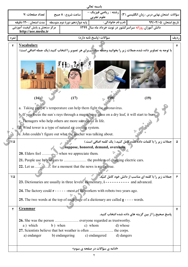|                                                        |                                                                                                                                                                                                                                                                                                                                                                                                                                                                                                                                                                                        |         |                                                  | باسمه تعالى                                                                      |                        |                                                     |   |
|--------------------------------------------------------|----------------------------------------------------------------------------------------------------------------------------------------------------------------------------------------------------------------------------------------------------------------------------------------------------------------------------------------------------------------------------------------------------------------------------------------------------------------------------------------------------------------------------------------------------------------------------------------|---------|--------------------------------------------------|----------------------------------------------------------------------------------|------------------------|-----------------------------------------------------|---|
|                                                        | تعداد صفحات :٧                                                                                                                                                                                                                                                                                                                                                                                                                                                                                                                                                                         |         | ساعت شروع : ٨ صبح                                | سؤالات امتحان نهایی درس : زبان انگلیسی (۳)   رشته :  ریاضی فیزیک –<br>علوم تجربى |                        |                                                     |   |
| پایه دوازدهم دورهٔ دوم متوسطه   مدت امتحان : ۱۲۰ دقیقه |                                                                                                                                                                                                                                                                                                                                                                                                                                                                                                                                                                                        |         | ا نام و نام خانوادگی :<br>تاريخ امتحان: ۹۹/۰۴/۰۵ |                                                                                  |                        |                                                     |   |
|                                                        | مرکز سنجش و پایش کیفیت آموزشی<br>http://aee.medu.ir                                                                                                                                                                                                                                                                                                                                                                                                                                                                                                                                    |         |                                                  | دانش آموزان روزانه سراسرکشور در نوبت خرداد ماه سال ۱۳۹۹                          |                        |                                                     |   |
| نمره                                                   | سؤالات (ياسخ نامه دارد)                                                                                                                                                                                                                                                                                                                                                                                                                                                                                                                                                                |         |                                                  |                                                                                  | رديف                   |                                                     |   |
| ۲                                                      | <b>Vocabulary</b><br>با توجه به تصاویر داده شده،جملات زیر را بخوانید وجمله مناسب برای هر تصویر را انتخاب کنید.(یک جمله اضافی است)                                                                                                                                                                                                                                                                                                                                                                                                                                                      |         |                                                  |                                                                                  |                        |                                                     | ۴ |
|                                                        |                                                                                                                                                                                                                                                                                                                                                                                                                                                                                                                                                                                        |         | <b>File : 2 12</b>                               |                                                                                  |                        |                                                     |   |
|                                                        | (16)                                                                                                                                                                                                                                                                                                                                                                                                                                                                                                                                                                                   |         | (17)                                             | (18)                                                                             |                        | (19)                                                |   |
| $1/\Delta$                                             | a. Taking people's temperature can help them fight the coronavirus.<br>b. If you focus the sun's rays through a magnifying glass on a dry leaf, it will start to burn.<br>c. Teenagers who help others are more successful in life.<br>d. Wind tower is a type of natural air cooling system.<br>e. John couldn't figure out what the teacher was talking about.<br>جملات زیر را با کلمات داده شده کامل کنید.( یک کلمه اضافی است.)<br>suppose, honored, demand, overcome<br><b>20.</b> Elders feel  when we appreciate them.<br>22. Let us  for a moment that the news is really true. |         |                                                  |                                                                                  |                        |                                                     | ۵ |
| $1/\Delta$                                             | جملات زیر را با کلمه ای مناسب از دانش خود کامل کنید.<br>23. Dictionaries are usually in three levels: elementary, $i$ - - - - - - - - - - and advanced.<br>24. The factory could $r - - - -$ -most of its workers with robots two years ago.<br>25. The two words at the top of each page of a dictionary are called $g - - -$ words.                                                                                                                                                                                                                                                  |         |                                                  |                                                                                  |                        | ۶                                                   |   |
| ٢                                                      | <u>Grammar</u>                                                                                                                                                                                                                                                                                                                                                                                                                                                                                                                                                                         |         |                                                  |                                                                                  |                        |                                                     | ۷ |
|                                                        | a) which<br>a) endanger                                                                                                                                                                                                                                                                                                                                                                                                                                                                                                                                                                | b) when | b) endangering                                   | c) whom<br>c) endangered                                                         | d) whose<br>d) dangers | پاسخ صحیح را از بین گزینه های داده شده انتخاب کنید. |   |
|                                                        | «ادامه ی سؤالات در صفحه ی سوم»                                                                                                                                                                                                                                                                                                                                                                                                                                                                                                                                                         |         |                                                  |                                                                                  |                        |                                                     |   |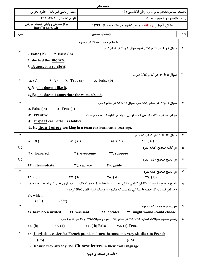|  | باسمه تعالہ |
|--|-------------|
|--|-------------|

|               | رشته: ریاضی فیزیک - علوم تجربی                                                                     |                                   | راهنمای تصحیح امتحان نهایی درس: زبان انگلیسی (۳) |                                                                                                           |               |  |  |
|---------------|----------------------------------------------------------------------------------------------------|-----------------------------------|--------------------------------------------------|-----------------------------------------------------------------------------------------------------------|---------------|--|--|
|               | تاريخ امتحان : ١٣٩٩/٠۴/٠۵                                                                          |                                   |                                                  | يايه دوازدهم دورهٔ دوم متوسطه                                                                             |               |  |  |
|               | مرکز سنجش و پایش کیفیت آموزشی<br>http://aee.medu.ir                                                |                                   |                                                  | دانش آموزان روزانه سراسر کشور خرداد ماه سال ۱۳۹۹                                                          |               |  |  |
| نمر ہ         |                                                                                                    |                                   | راهنماي تصحيح                                    |                                                                                                           | ر د يف        |  |  |
|               |                                                                                                    | با سلام خدمت همکاران محترم        |                                                  |                                                                                                           |               |  |  |
|               |                                                                                                    |                                   |                                                  | سوال ۱ و ۲ هر کدام (۱۵)، نمره سوال ۳ و ۴ هر کدام ۱ نمره.                                                  | $\lambda$     |  |  |
| ٣             | $\lambda$ . False (b) $\lambda$ . False (b)                                                        |                                   |                                                  |                                                                                                           |               |  |  |
|               | r. she had the money.                                                                              |                                   |                                                  |                                                                                                           |               |  |  |
|               | r. Because it is so slow.                                                                          |                                   |                                                  |                                                                                                           |               |  |  |
|               |                                                                                                    |                                   |                                                  | سوال ۵ تا ۱۰ هر کدام (۵/۰) نمره.                                                                          | ٢             |  |  |
| ٣             | $\Delta. (c)$ $\qquad$ $\ell. (c)$ $\qquad$ $\vee.$ True (a)                                       | $\lambda$ . False (b)             |                                                  |                                                                                                           |               |  |  |
|               | 9. No, he doesn't like it.                                                                         |                                   |                                                  |                                                                                                           |               |  |  |
|               | 1. No, he doesn't appreciate the woman's job.                                                      |                                   |                                                  |                                                                                                           |               |  |  |
| ۴             |                                                                                                    |                                   |                                                  | سوال ١١ و١٢ هر كدام (٠/٥) نمره سوال ١٣ تا ١٥ هر كدام ١ نمره.                                              | ٣             |  |  |
|               | $\mathcal{N}$ . False (b) $\mathcal{N}$ . True (a)                                                 |                                   |                                                  |                                                                                                           |               |  |  |
|               | <b>IF.</b> creative                                                                                |                                   |                                                  | در این بخش هرکلمه ای هم که به نوعی به پاسخ اشاره کند صحیح است.                                            |               |  |  |
|               | <b>19.</b> respect each other's abilities.                                                         |                                   |                                                  |                                                                                                           |               |  |  |
|               | 14. He didn't enjoy working in a team environment a year ago.                                      |                                   |                                                  |                                                                                                           |               |  |  |
| $\mathbf{r}$  |                                                                                                    |                                   |                                                  | سوال ۱۶ تا ۱۹ هر کدام (۵/.) نمره                                                                          | ۴             |  |  |
|               | 19. (d)<br>$W_{\epsilon}(\mathbf{e})$                                                              |                                   | $\mathcal{N}(\mathbf{b})$                        | $\mathcal{N}(\mathbf{a})$                                                                                 |               |  |  |
| $1/\Delta$    |                                                                                                    |                                   |                                                  | هر کلمه صحیح (۱۵). نمره                                                                                   | ۵             |  |  |
| $1/\Delta$    | ۲۰. honored                                                                                        | ۲۱. overcome                      | <b>TT.</b> suppose                               | هر پاسخ صحیح (۵/.) نمره                                                                                   |               |  |  |
|               | <b>٢٣.</b> intermediate                                                                            | $\overline{\mathsf{Y}}$ . replace | To. guide                                        |                                                                                                           | ≻             |  |  |
| ٢             |                                                                                                    |                                   |                                                  | هر ياسخ صحيح(۵/.) نمره                                                                                    | ۷             |  |  |
|               | $\mathsf{Y} \mathsf{V} \mathsf{.} \mathsf{(b)}$<br>$\mathbf{Y}$ . (c)                              |                                   | $\uparrow \uparrow \uparrow$ . (d)               | $\mathbf{Y}$ . (b)                                                                                        |               |  |  |
| $\mathcal{L}$ |                                                                                                    |                                   |                                                  | پاسخ صحیح ۱ نمره.( همکاران گرامی دانش اموز باید which را به همراه یک عبارت دارای فعل را در ادامه بنویسد.) | ۸             |  |  |
|               | ( در این قسمت اگر جمله یا عبارتی بنویسد که مفهوم را برساند نمره کامل لحاظ گردد)                    |                                   |                                                  |                                                                                                           |               |  |  |
|               | $\mathbf{r}$ . which                                                                               |                                   |                                                  |                                                                                                           |               |  |  |
| ٢             | $(\cdot/\circ)$<br>$(\cdot/\circ)$                                                                 |                                   |                                                  | هر ياسخ صحيح (٥/.) نمره                                                                                   | ٩             |  |  |
|               | ۳۱. have been invited                                                                              | <b>TT. was said</b>               | <b>TT.</b> decides                               | <b>TF.</b> might/would /could choose                                                                      |               |  |  |
|               |                                                                                                    |                                   |                                                  | پاسخ صحیح سؤالات شماره ۳۵تا ۳۸ هر کدام (۰/۵) نمره و سوالات۳۹ و ۴۰ هر کدام ۱ نمره                          | $\mathcal{L}$ |  |  |
|               | $\forall$ Y. (b) False<br>۳۸. (a) True<br>$\mathbf{Y}\mathbf{F}$ . (a)<br>$\mathbf{r}\Delta$ . (b) |                                   |                                                  |                                                                                                           |               |  |  |
| ۴             | <b>TA.</b> English is easier for French people to learn because it is very similar to French       |                                   |                                                  |                                                                                                           |               |  |  |
|               | $(\cdot/\Delta)$<br>$(\cdot/\Delta)$                                                               |                                   |                                                  |                                                                                                           |               |  |  |
|               | F. Because they already use Chinese letters in their own language.                                 |                                   |                                                  |                                                                                                           |               |  |  |
|               | «ادامه در صفحه ی دوم»                                                                              |                                   |                                                  |                                                                                                           |               |  |  |